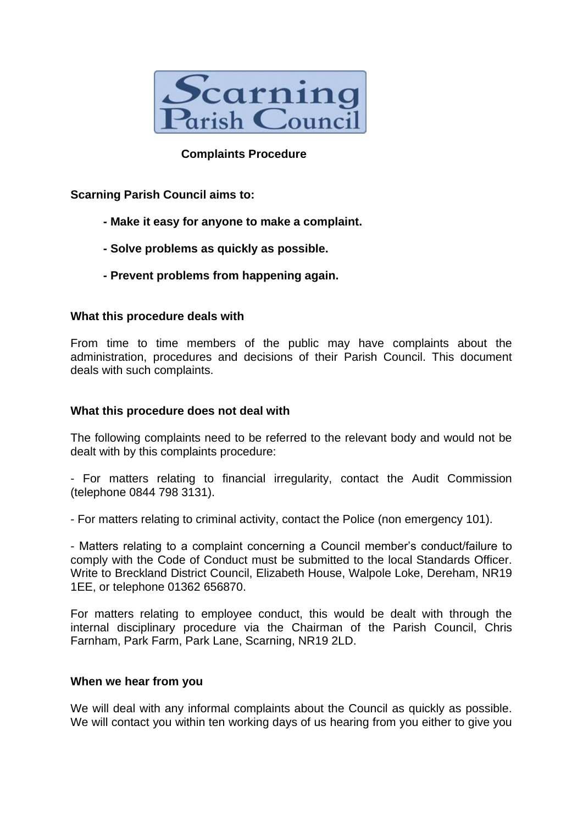

## **Complaints Procedure**

**Scarning Parish Council aims to:**

- **- Make it easy for anyone to make a complaint.**
- **- Solve problems as quickly as possible.**
- **- Prevent problems from happening again.**

### **What this procedure deals with**

From time to time members of the public may have complaints about the administration, procedures and decisions of their Parish Council. This document deals with such complaints.

### **What this procedure does not deal with**

The following complaints need to be referred to the relevant body and would not be dealt with by this complaints procedure:

- For matters relating to financial irregularity, contact the Audit Commission (telephone 0844 798 3131).

- For matters relating to criminal activity, contact the Police (non emergency 101).

- Matters relating to a complaint concerning a Council member's conduct/failure to comply with the Code of Conduct must be submitted to the local Standards Officer. Write to Breckland District Council, Elizabeth House, Walpole Loke, Dereham, NR19 1EE, or telephone 01362 656870.

For matters relating to employee conduct, this would be dealt with through the internal disciplinary procedure via the Chairman of the Parish Council, Chris Farnham, Park Farm, Park Lane, Scarning, NR19 2LD.

#### **When we hear from you**

We will deal with any informal complaints about the Council as quickly as possible. We will contact you within ten working days of us hearing from you either to give you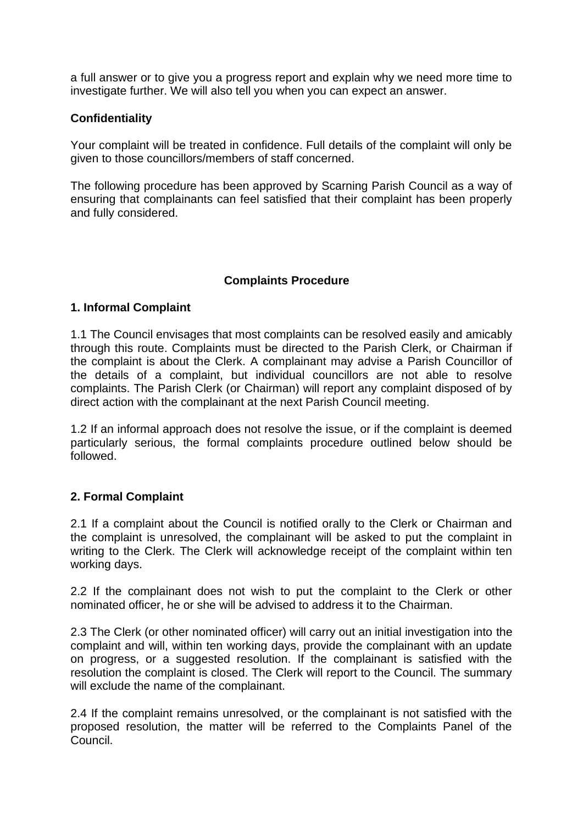a full answer or to give you a progress report and explain why we need more time to investigate further. We will also tell you when you can expect an answer.

## **Confidentiality**

Your complaint will be treated in confidence. Full details of the complaint will only be given to those councillors/members of staff concerned.

The following procedure has been approved by Scarning Parish Council as a way of ensuring that complainants can feel satisfied that their complaint has been properly and fully considered.

### **Complaints Procedure**

### **1. Informal Complaint**

1.1 The Council envisages that most complaints can be resolved easily and amicably through this route. Complaints must be directed to the Parish Clerk, or Chairman if the complaint is about the Clerk. A complainant may advise a Parish Councillor of the details of a complaint, but individual councillors are not able to resolve complaints. The Parish Clerk (or Chairman) will report any complaint disposed of by direct action with the complainant at the next Parish Council meeting.

1.2 If an informal approach does not resolve the issue, or if the complaint is deemed particularly serious, the formal complaints procedure outlined below should be followed.

### **2. Formal Complaint**

2.1 If a complaint about the Council is notified orally to the Clerk or Chairman and the complaint is unresolved, the complainant will be asked to put the complaint in writing to the Clerk. The Clerk will acknowledge receipt of the complaint within ten working days.

2.2 If the complainant does not wish to put the complaint to the Clerk or other nominated officer, he or she will be advised to address it to the Chairman.

2.3 The Clerk (or other nominated officer) will carry out an initial investigation into the complaint and will, within ten working days, provide the complainant with an update on progress, or a suggested resolution. If the complainant is satisfied with the resolution the complaint is closed. The Clerk will report to the Council. The summary will exclude the name of the complainant.

2.4 If the complaint remains unresolved, or the complainant is not satisfied with the proposed resolution, the matter will be referred to the Complaints Panel of the Council.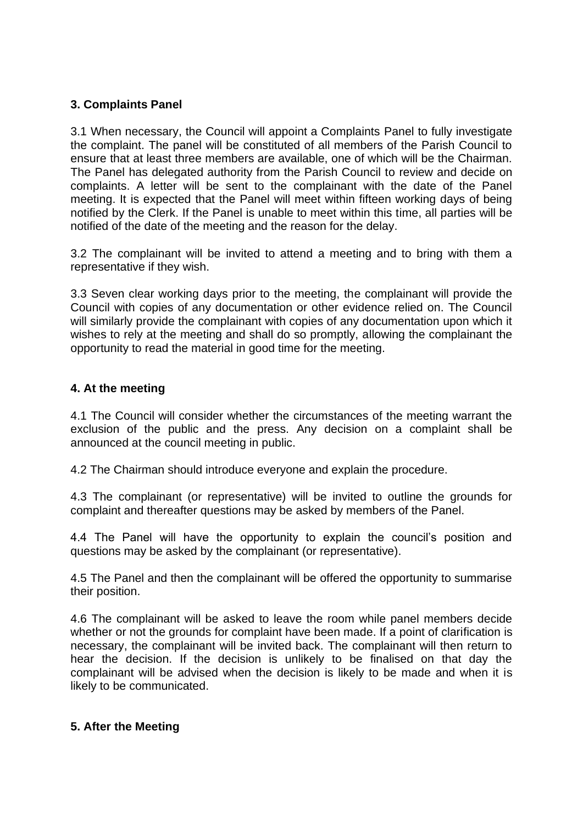# **3. Complaints Panel**

3.1 When necessary, the Council will appoint a Complaints Panel to fully investigate the complaint. The panel will be constituted of all members of the Parish Council to ensure that at least three members are available, one of which will be the Chairman. The Panel has delegated authority from the Parish Council to review and decide on complaints. A letter will be sent to the complainant with the date of the Panel meeting. It is expected that the Panel will meet within fifteen working days of being notified by the Clerk. If the Panel is unable to meet within this time, all parties will be notified of the date of the meeting and the reason for the delay.

3.2 The complainant will be invited to attend a meeting and to bring with them a representative if they wish.

3.3 Seven clear working days prior to the meeting, the complainant will provide the Council with copies of any documentation or other evidence relied on. The Council will similarly provide the complainant with copies of any documentation upon which it wishes to rely at the meeting and shall do so promptly, allowing the complainant the opportunity to read the material in good time for the meeting.

### **4. At the meeting**

4.1 The Council will consider whether the circumstances of the meeting warrant the exclusion of the public and the press. Any decision on a complaint shall be announced at the council meeting in public.

4.2 The Chairman should introduce everyone and explain the procedure.

4.3 The complainant (or representative) will be invited to outline the grounds for complaint and thereafter questions may be asked by members of the Panel.

4.4 The Panel will have the opportunity to explain the council's position and questions may be asked by the complainant (or representative).

4.5 The Panel and then the complainant will be offered the opportunity to summarise their position.

4.6 The complainant will be asked to leave the room while panel members decide whether or not the grounds for complaint have been made. If a point of clarification is necessary, the complainant will be invited back. The complainant will then return to hear the decision. If the decision is unlikely to be finalised on that day the complainant will be advised when the decision is likely to be made and when it is likely to be communicated.

### **5. After the Meeting**